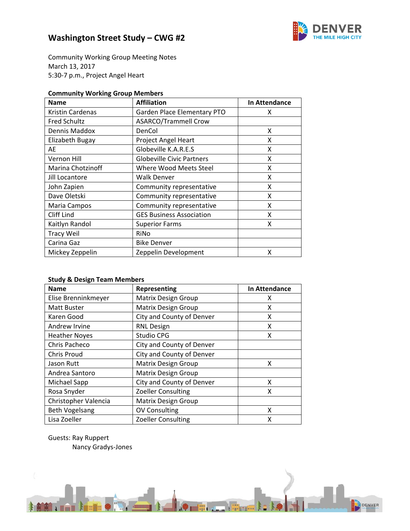

Community Working Group Meeting Notes March 13, 2017 5:30‐7 p.m., Project Angel Heart

### **Community Working Group Members**

| <b>Name</b>         | <b>Affiliation</b>               | In Attendance |
|---------------------|----------------------------------|---------------|
| Kristin Cardenas    | Garden Place Elementary PTO      | x             |
| <b>Fred Schultz</b> | <b>ASARCO/Trammell Crow</b>      |               |
| Dennis Maddox       | DenCol                           | x             |
| Elizabeth Bugay     | <b>Project Angel Heart</b>       | X             |
| AE                  | Globeville K.A.R.E.S             | X             |
| Vernon Hill         | <b>Globeville Civic Partners</b> | x             |
| Marina Chotzinoff   | Where Wood Meets Steel           | x             |
| Jill Locantore      | <b>Walk Denver</b>               | x             |
| John Zapien         | Community representative         | x             |
| Dave Oletski        | Community representative         | x             |
| Maria Campos        | Community representative         | x             |
| Cliff Lind          | <b>GES Business Association</b>  | x             |
| Kaitlyn Randol      | <b>Superior Farms</b>            | x             |
| <b>Tracy Weil</b>   | RiNo                             |               |
| Carina Gaz          | <b>Bike Denver</b>               |               |
| Mickey Zeppelin     | Zeppelin Development             | x             |

### **Study & Design Team Members**

| <b>Name</b>           | Representing               | In Attendance |
|-----------------------|----------------------------|---------------|
| Elise Brenninkmeyer   | <b>Matrix Design Group</b> | х             |
| <b>Matt Buster</b>    | <b>Matrix Design Group</b> | x             |
| Karen Good            | City and County of Denver  | x             |
| Andrew Irvine         | <b>RNL Design</b>          | x             |
| <b>Heather Noyes</b>  | Studio CPG                 | х             |
| Chris Pacheco         | City and County of Denver  |               |
| <b>Chris Proud</b>    | City and County of Denver  |               |
| Jason Rutt            | <b>Matrix Design Group</b> | x             |
| Andrea Santoro        | <b>Matrix Design Group</b> |               |
| Michael Sapp          | City and County of Denver  | x             |
| Rosa Snyder           | Zoeller Consulting         | X             |
| Christopher Valencia  | <b>Matrix Design Group</b> |               |
| <b>Beth Vogelsang</b> | <b>OV Consulting</b>       | X             |
| Lisa Zoeller          | <b>Zoeller Consulting</b>  | X             |

Guests: Ray Ruppert Nancy Gradys‐Jones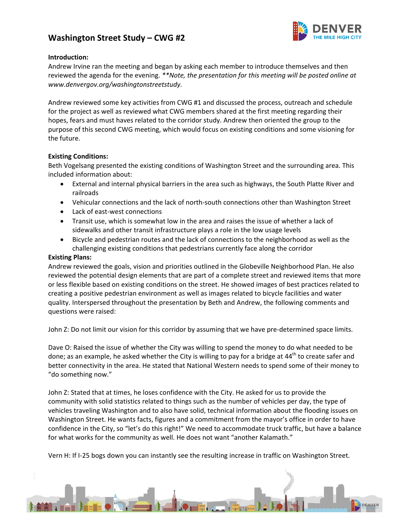

#### **Introduction:**

Andrew Irvine ran the meeting and began by asking each member to introduce themselves and then reviewed the agenda for the evening. *\*\*Note, the presentation for this meeting will be posted online at www.denvergov.org/washingtonstreetstudy.*

Andrew reviewed some key activities from CWG #1 and discussed the process, outreach and schedule for the project as well as reviewed what CWG members shared at the first meeting regarding their hopes, fears and must haves related to the corridor study. Andrew then oriented the group to the purpose of this second CWG meeting, which would focus on existing conditions and some visioning for the future.

#### **Existing Conditions:**

Beth Vogelsang presented the existing conditions of Washington Street and the surrounding area. This included information about:

- External and internal physical barriers in the area such as highways, the South Platte River and railroads
- Vehicular connections and the lack of north-south connections other than Washington Street
- Lack of east-west connections
- Transit use, which is somewhat low in the area and raises the issue of whether a lack of sidewalks and other transit infrastructure plays a role in the low usage levels
- Bicycle and pedestrian routes and the lack of connections to the neighborhood as well as the challenging existing conditions that pedestrians currently face along the corridor

#### **Existing Plans:**

Andrew reviewed the goals, vision and priorities outlined in the Globeville Neighborhood Plan. He also reviewed the potential design elements that are part of a complete street and reviewed items that more or less flexible based on existing conditions on the street. He showed images of best practices related to creating a positive pedestrian environment as well as images related to bicycle facilities and water quality. Interspersed throughout the presentation by Beth and Andrew, the following comments and questions were raised:

John Z: Do not limit our vision for this corridor by assuming that we have pre-determined space limits.

Dave O: Raised the issue of whether the City was willing to spend the money to do what needed to be done; as an example, he asked whether the City is willing to pay for a bridge at 44<sup>th</sup> to create safer and better connectivity in the area. He stated that National Western needs to spend some of their money to "do something now."

John Z: Stated that at times, he loses confidence with the City. He asked for us to provide the community with solid statistics related to things such as the number of vehicles per day, the type of vehicles traveling Washington and to also have solid, technical information about the flooding issues on Washington Street. He wants facts, figures and a commitment from the mayor's office in order to have confidence in the City, so "let's do this right!" We need to accommodate truck traffic, but have a balance for what works for the community as well. He does not want "another Kalamath."

Vern H: If I‐25 bogs down you can instantly see the resulting increase in traffic on Washington Street.

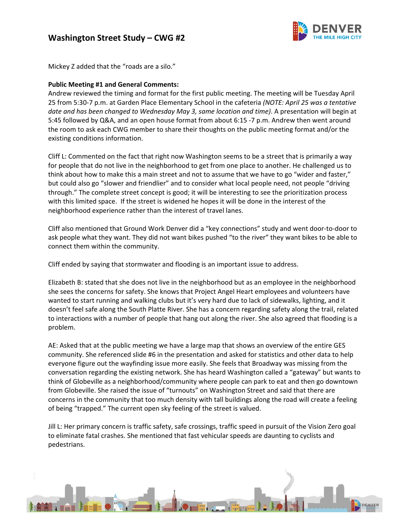

Mickey Z added that the "roads are a silo."

### **Public Meeting #1 and General Comments:**

Andrew reviewed the timing and format for the first public meeting. The meeting will be Tuesday April 25 from 5:30‐7 p.m. at Garden Place Elementary School in the cafeteria *(NOTE: April 25 was a tentative date and has been changed to Wednesday May 3, same location and time)*. A presentation will begin at 5:45 followed by Q&A, and an open house format from about 6:15 ‐7 p.m. Andrew then went around the room to ask each CWG member to share their thoughts on the public meeting format and/or the existing conditions information.

Cliff L: Commented on the fact that right now Washington seems to be a street that is primarily a way for people that do not live in the neighborhood to get from one place to another. He challenged us to think about how to make this a main street and not to assume that we have to go "wider and faster," but could also go "slower and friendlier" and to consider what local people need, not people "driving through." The complete street concept is good; it will be interesting to see the prioritization process with this limited space. If the street is widened he hopes it will be done in the interest of the neighborhood experience rather than the interest of travel lanes.

Cliff also mentioned that Ground Work Denver did a "key connections" study and went door‐to‐door to ask people what they want. They did not want bikes pushed "to the river" they want bikes to be able to connect them within the community.

Cliff ended by saying that stormwater and flooding is an important issue to address.

Elizabeth B: stated that she does not live in the neighborhood but as an employee in the neighborhood she sees the concerns for safety. She knows that Project Angel Heart employees and volunteers have wanted to start running and walking clubs but it's very hard due to lack of sidewalks, lighting, and it doesn't feel safe along the South Platte River. She has a concern regarding safety along the trail, related to interactions with a number of people that hang out along the river. She also agreed that flooding is a problem.

AE: Asked that at the public meeting we have a large map that shows an overview of the entire GES community. She referenced slide #6 in the presentation and asked for statistics and other data to help everyone figure out the wayfinding issue more easily. She feels that Broadway was missing from the conversation regarding the existing network. She has heard Washington called a "gateway" but wants to think of Globeville as a neighborhood/community where people can park to eat and then go downtown from Globeville. She raised the issue of "turnouts" on Washington Street and said that there are concerns in the community that too much density with tall buildings along the road will create a feeling of being "trapped." The current open sky feeling of the street is valued.

Jill L: Her primary concern is traffic safety, safe crossings, traffic speed in pursuit of the Vision Zero goal to eliminate fatal crashes. She mentioned that fast vehicular speeds are daunting to cyclists and pedestrians.

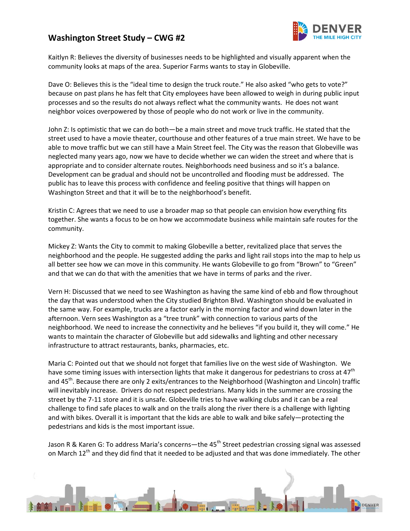

Kaitlyn R: Believes the diversity of businesses needs to be highlighted and visually apparent when the community looks at maps of the area. Superior Farms wants to stay in Globeville.

Dave O: Believes this is the "ideal time to design the truck route." He also asked "who gets to vote?" because on past plans he has felt that City employees have been allowed to weigh in during public input processes and so the results do not always reflect what the community wants. He does not want neighbor voices overpowered by those of people who do not work or live in the community.

John Z: Is optimistic that we can do both—be a main street and move truck traffic. He stated that the street used to have a movie theater, courthouse and other features of a true main street. We have to be able to move traffic but we can still have a Main Street feel. The City was the reason that Globeville was neglected many years ago, now we have to decide whether we can widen the street and where that is appropriate and to consider alternate routes. Neighborhoods need business and so it's a balance. Development can be gradual and should not be uncontrolled and flooding must be addressed. The public has to leave this process with confidence and feeling positive that things will happen on Washington Street and that it will be to the neighborhood's benefit.

Kristin C: Agrees that we need to use a broader map so that people can envision how everything fits together. She wants a focus to be on how we accommodate business while maintain safe routes for the community.

Mickey Z: Wants the City to commit to making Globeville a better, revitalized place that serves the neighborhood and the people. He suggested adding the parks and light rail stops into the map to help us all better see how we can move in this community. He wants Globeville to go from "Brown" to "Green" and that we can do that with the amenities that we have in terms of parks and the river.

Vern H: Discussed that we need to see Washington as having the same kind of ebb and flow throughout the day that was understood when the City studied Brighton Blvd. Washington should be evaluated in the same way. For example, trucks are a factor early in the morning factor and wind down later in the afternoon. Vern sees Washington as a "tree trunk" with connection to various parts of the neighborhood. We need to increase the connectivity and he believes "if you build it, they will come." He wants to maintain the character of Globeville but add sidewalks and lighting and other necessary infrastructure to attract restaurants, banks, pharmacies, etc.

Maria C: Pointed out that we should not forget that families live on the west side of Washington. We have some timing issues with intersection lights that make it dangerous for pedestrians to cross at 47<sup>th</sup> and 45<sup>th</sup>. Because there are only 2 exits/entrances to the Neighborhood (Washington and Lincoln) traffic will inevitably increase. Drivers do not respect pedestrians. Many kids in the summer are crossing the street by the 7‐11 store and it is unsafe. Globeville tries to have walking clubs and it can be a real challenge to find safe places to walk and on the trails along the river there is a challenge with lighting and with bikes. Overall it is important that the kids are able to walk and bike safely—protecting the pedestrians and kids is the most important issue.

Jason R & Karen G: To address Maria's concerns—the 45<sup>th</sup> Street pedestrian crossing signal was assessed on March 12<sup>th</sup> and they did find that it needed to be adjusted and that was done immediately. The other

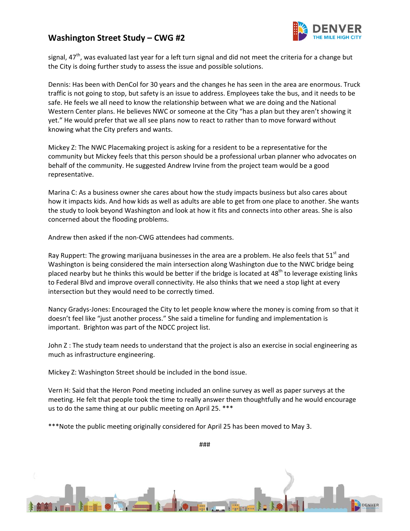

signal, 47<sup>th</sup>, was evaluated last year for a left turn signal and did not meet the criteria for a change but the City is doing further study to assess the issue and possible solutions.

Dennis: Has been with DenCol for 30 years and the changes he has seen in the area are enormous. Truck traffic is not going to stop, but safety is an issue to address. Employees take the bus, and it needs to be safe. He feels we all need to know the relationship between what we are doing and the National Western Center plans. He believes NWC or someone at the City "has a plan but they aren't showing it yet." He would prefer that we all see plans now to react to rather than to move forward without knowing what the City prefers and wants.

Mickey Z: The NWC Placemaking project is asking for a resident to be a representative for the community but Mickey feels that this person should be a professional urban planner who advocates on behalf of the community. He suggested Andrew Irvine from the project team would be a good representative.

Marina C: As a business owner she cares about how the study impacts business but also cares about how it impacts kids. And how kids as well as adults are able to get from one place to another. She wants the study to look beyond Washington and look at how it fits and connects into other areas. She is also concerned about the flooding problems.

Andrew then asked if the non‐CWG attendees had comments.

Ray Ruppert: The growing marijuana businesses in the area are a problem. He also feels that  $51<sup>st</sup>$  and Washington is being considered the main intersection along Washington due to the NWC bridge being placed nearby but he thinks this would be better if the bridge is located at  $48<sup>th</sup>$  to leverage existing links to Federal Blvd and improve overall connectivity. He also thinks that we need a stop light at every intersection but they would need to be correctly timed.

Nancy Gradys‐Jones: Encouraged the City to let people know where the money is coming from so that it doesn't feel like "just another process." She said a timeline for funding and implementation is important. Brighton was part of the NDCC project list.

John Z : The study team needs to understand that the project is also an exercise in social engineering as much as infrastructure engineering.

Mickey Z: Washington Street should be included in the bond issue.

Vern H: Said that the Heron Pond meeting included an online survey as well as paper surveys at the meeting. He felt that people took the time to really answer them thoughtfully and he would encourage us to do the same thing at our public meeting on April 25. \*\*\*

\*\*\*Note the public meeting originally considered for April 25 has been moved to May 3.

###